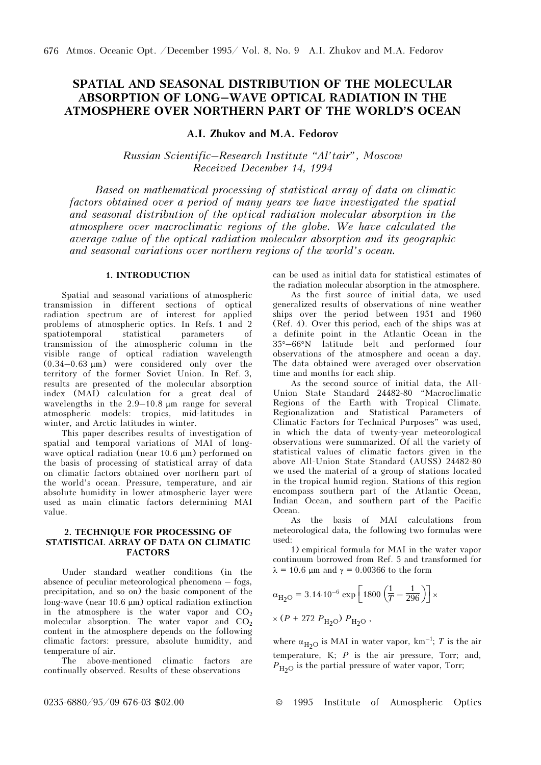# SPATIAL AND SEASONAL DISTRIBUTION OF THE MOLECULAR ABSORPTION OF LONG–WAVE OPTICAL RADIATION IN THE ATMOSPHERE OVER NORTHERN PART OF THE WORLD'S OCEAN

A.I. Zhukov and M.A. Fedorov

Russian Scientific–Research Institute "Al'tair", Moscow Received December 14, 1994

Based on mathematical processing of statistical array of data on climatic factors obtained over a period of many years we have investigated the spatial and seasonal distribution of the optical radiation molecular absorption in the atmosphere over macroclimatic regions of the globe. We have calculated the average value of the optical radiation molecular absorption and its geographic and seasonal variations over northern regions of the world's ocean.

## 1. INTRODUCTION

Spatial and seasonal variations of atmospheric transmission in different sections of optical radiation spectrum are of interest for applied problems of atmospheric optics. In Refs. 1 and 2<br>spatiotemporal statistical parameters of spatiotemporal statistical parameters of transmission of the atmospheric column in the visible range of optical radiation wavelength (0.34–0.63 μm) were considered only over the territory of the former Soviet Union. In Ref. 3, results are presented of the molecular absorption index (MAI) calculation for a great deal of wavelengths in the 2.9–10.8 μm range for several atmospheric models: tropics, mid-latitudes in winter, and Arctic latitudes in winter.

This paper describes results of investigation of spatial and temporal variations of MAI of longwave optical radiation (near 10.6 μm) performed on the basis of processing of statistical array of data on climatic factors obtained over northern part of the world's ocean. Pressure, temperature, and air absolute humidity in lower atmospheric layer were used as main climatic factors determining MAI value.

### 2. TECHNIQUE FOR PROCESSING OF STATISTICAL ARRAY OF DATA ON CLIMATIC **FACTORS**

Under standard weather conditions (in the absence of peculiar meteorological phenomena – fogs, precipitation, and so on) the basic component of the long-wave (near 10.6 μm) optical radiation extinction in the atmosphere is the water vapor and  $CO<sub>2</sub>$ molecular absorption. The water vapor and  $CO<sub>2</sub>$ content in the atmosphere depends on the following climatic factors: pressure, absolute humidity, and temperature of air.

The above-mentioned climatic factors are continually observed. Results of these observations

can be used as initial data for statistical estimates of the radiation molecular absorption in the atmosphere.

As the first source of initial data, we used generalized results of observations of nine weather ships over the period between 1951 and 1960 (Ref. 4). Over this period, each of the ships was at a definite point in the Atlantic Ocean in the 35°–66°N latitude belt and performed four observations of the atmosphere and ocean a day. The data obtained were averaged over observation time and months for each ship.

As the second source of initial data, the All-Union State Standard 24482-80 "Macroclimatic Regions of the Earth with Tropical Climate. Regionalization and Statistical Parameters of Climatic Factors for Technical Purposes" was used, in which the data of twenty-year meteorological observations were summarized. Of all the variety of statistical values of climatic factors given in the above All-Union State Standard (AUSS) 24482-80 we used the material of a group of stations located in the tropical humid region. Stations of this region encompass southern part of the Atlantic Ocean, Indian Ocean, and southern part of the Pacific Ocean.

As the basis of MAI calculations from meteorological data, the following two formulas were used:

1) empirical formula for MAI in the water vapor continuum borrowed from Ref. 5 and transformed for  $λ = 10.6 \mu m$  and  $γ = 0.00366$  to the form

$$
\alpha_{\text{H}_2\text{O}} = 3.14 \cdot 10^{-6} \exp\left[1800\left(\frac{1}{T} - \frac{1}{296}\right)\right] \times
$$
  
×  $(P + 272 P_{\text{H}_2\text{O}}) P_{\text{H}_2\text{O}}$ ,

where  $\alpha_{\text{H}_2\text{O}}$  is MAI in water vapor, km<sup>-1</sup>; T is the air temperature, K;  $P$  is the air pressure, Torr; and,  $P_{\text{H}_2\text{O}}$  is the partial pressure of water vapor, Torr;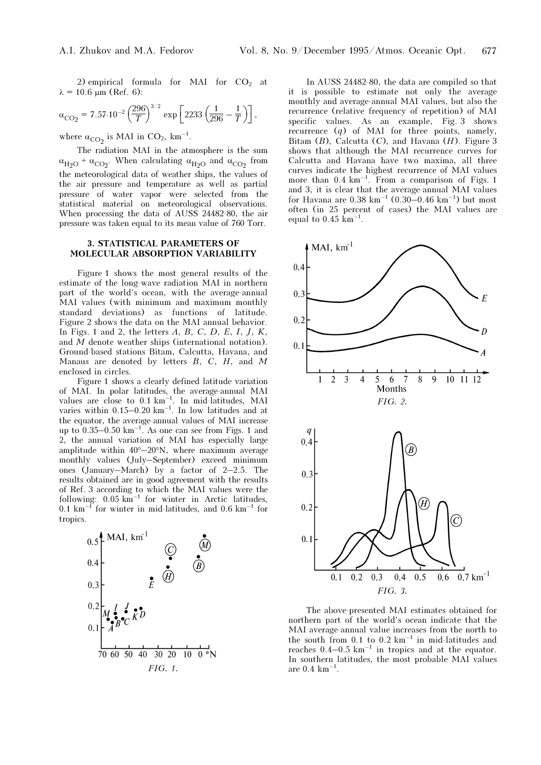2) empirical formula for MAI for  $CO<sub>2</sub>$  at  $λ = 10.6 \mu m (Ref. 6):$ 

$$
\alpha_{\rm CO_2} = 7.57 \cdot 10^{-2} \left(\frac{296}{T}\right)^{3/2} \exp\left[2233 \left(\frac{1}{296} - \frac{1}{T}\right)\right],
$$

where  $\alpha_{\text{CO}_2}$  is MAI in CO<sub>2</sub>, km<sup>-1</sup>.

The radiation MAI in the atmosphere is the sum  $\alpha_{\text{H}_2\text{O}}$  +  $\alpha_{\text{CO}_2}$ . When calculating  $\alpha_{\text{H}_2\text{O}}$  and  $\alpha_{\text{CO}_2}$  from the meteorological data of weather ships, the values of the air pressure and temperature as well as partial pressure of water vapor were selected from the statistical material on meteorological observations. When processing the data of AUSS 24482-80, the air pressure was taken equal to its mean value of 760 Torr.

# 3. STATISTICAL PARAMETERS OF MOLECULAR ABSORPTION VARIABILITY

Figure 1 shows the most general results of the estimate of the long-wave radiation MAI in northern part of the world's ocean, with the average-annual MAI values (with minimum and maximum monthly standard deviations) as functions of latitude. Figure 2 shows the data on the MAI annual behavior. In Figs. 1 and 2, the letters  $A, B, C, D, E, I, J, K$ , and M denote weather ships (international notation). Ground-based stations Bitam, Calcutta, Havana, and Manaus are denoted by letters  $B, C, H$ , and M enclosed in circles.

Figure 1 shows a clearly defined latitude variation of MAI. In polar latitudes, the average-annual MAI values are close to 0.1 km–1. In mid-latitudes, MAI varies within  $0.15-0.20 \text{ km}^{-1}$ . In low latitudes and at the equator, the average-annual values of MAI increase up to  $0.35-0.50 \text{ km}^{-1}$ . As one can see from Figs. 1 and 2, the annual variation of MAI has especially large amplitude within 40°–20°N, where maximum average monthly values (July–September) exceed minimum ones (January–March) by a factor of 2–2.5. The results obtained are in good agreement with the results of Ref. 3 according to which the MAI values were the following:  $0.05 \text{ km}^{-1}$  for winter in Arctic latitudes, 0.1  $km^{-1}$  for winter in mid-latitudes, and 0.6  $km^{-1}$  for tropics.



In AUSS 24482-80, the data are compiled so that it is possible to estimate not only the average monthly and average-annual MAI values, but also the recurrence (relative frequency of repetition) of MAI specific values. As an example, Fig. 3 shows recurrence  $(q)$  of MAI for three points, namely, Bitam  $(B)$ , Calcutta  $(C)$ , and Havana  $(H)$ . Figure 3 shows that although the MAI recurrence curves for Calcutta and Havana have two maxima, all three curves indicate the highest recurrence of MAI values more than  $0.4 \text{ km}^{-1}$ . From a comparison of Figs. 1 and 3, it is clear that the average-annual MAI values for Havana are  $0.38 \text{ km}^{-1}$   $(0.30 - 0.46 \text{ km}^{-1})$  but most often (in 25 percent of cases) the MAI values are equal to  $0.45 \text{ km}^{-1}$ .



The above-presented MAI estimates obtained for northern part of the world's ocean indicate that the MAI average-annual value increases from the north to the south from 0.1 to  $0.2 \text{ km}^{-1}$  in mid-latitudes and reaches  $0.4-0.5 \text{ km}^{-1}$  in tropics and at the equator. In southern latitudes, the most probable MAI values are  $0.4 \text{ km}^{-1}$ .